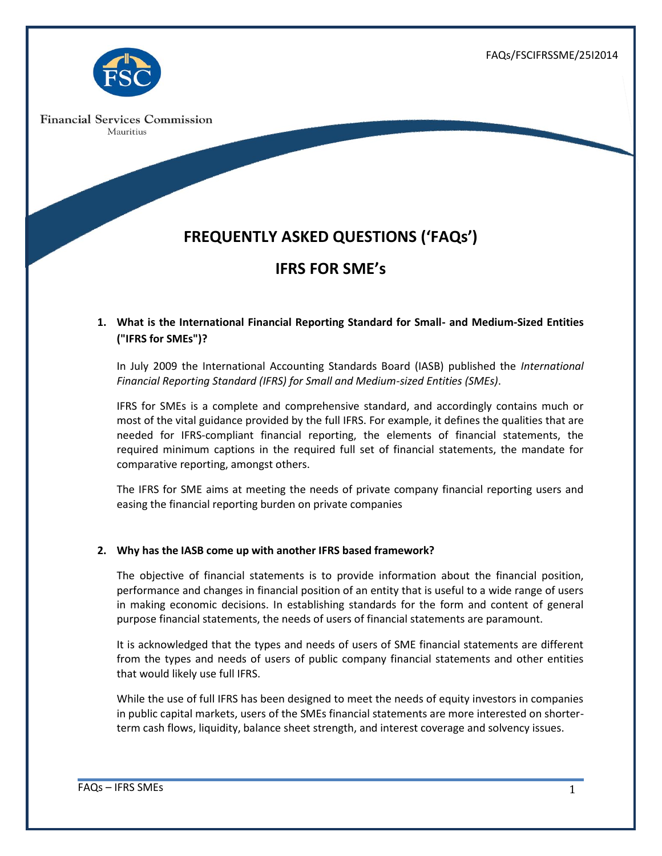FAQs/FSCIFRSSME/25I2014



**Financial Services Commission** Mauritius

# **FREQUENTLY ASKED QUESTIONS ('FAQs')**

# **IFRS FOR SME's**

# **1. What is the International Financial Reporting Standard for Small- and Medium-Sized Entities ("IFRS for SMEs")?**

In July 2009 the International Accounting Standards Board (IASB) published the *International Financial Reporting Standard (IFRS) for Small and Medium-sized Entities (SMEs)*.

IFRS for SMEs is a complete and comprehensive standard, and accordingly contains much or most of the vital guidance provided by the full IFRS. For example, it defines the qualities that are needed for IFRS-compliant financial reporting, the elements of financial statements, the required minimum captions in the required full set of financial statements, the mandate for comparative reporting, amongst others.

The IFRS for SME aims at meeting the needs of private company financial reporting users and easing the financial reporting burden on private companies

# **2. Why has the IASB come up with another IFRS based framework?**

The objective of financial statements is to provide information about the financial position, performance and changes in financial position of an entity that is useful to a wide range of users in making economic decisions. In establishing standards for the form and content of general purpose financial statements, the needs of users of financial statements are paramount.

It is acknowledged that the types and needs of users of SME financial statements are different from the types and needs of users of public company financial statements and other entities that would likely use full IFRS.

While the use of full IFRS has been designed to meet the needs of equity investors in companies in public capital markets, users of the SMEs financial statements are more interested on shorterterm cash flows, liquidity, balance sheet strength, and interest coverage and solvency issues.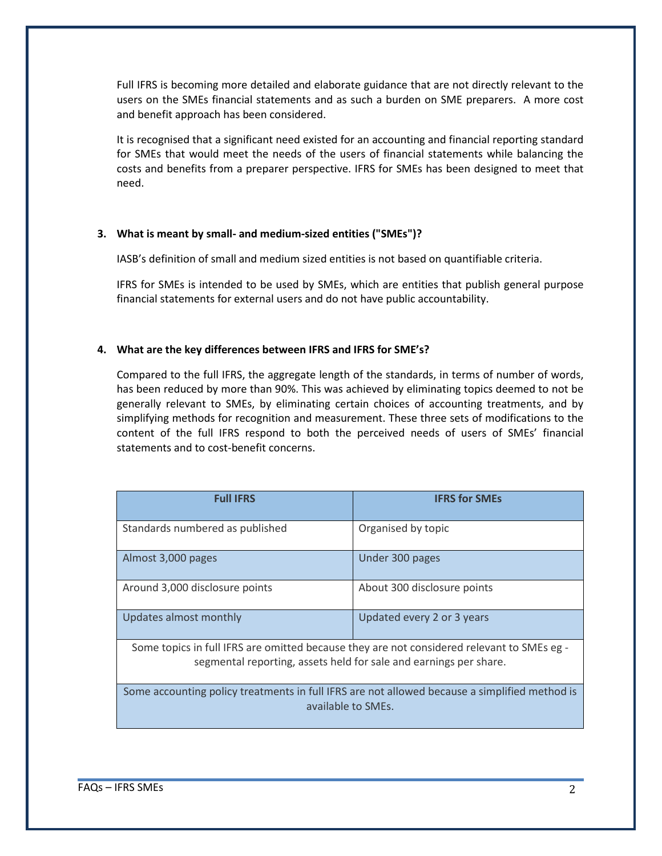Full IFRS is becoming more detailed and elaborate guidance that are not directly relevant to the users on the SMEs financial statements and as such a burden on SME preparers. A more cost and benefit approach has been considered.

It is recognised that a significant need existed for an accounting and financial reporting standard for SMEs that would meet the needs of the users of financial statements while balancing the costs and benefits from a preparer perspective. IFRS for SMEs has been designed to meet that need.

#### **3. What is meant by small- and medium-sized entities ("SMEs")?**

IASB's definition of small and medium sized entities is not based on quantifiable criteria.

IFRS for SMEs is intended to be used by SMEs, which are entities that publish general purpose financial statements for external users and do not have public accountability.

#### **4. What are the key differences between IFRS and IFRS for SME's?**

Compared to the full IFRS, the aggregate length of the standards, in terms of number of words, has been reduced by more than 90%. This was achieved by eliminating topics deemed to not be generally relevant to SMEs, by eliminating certain choices of accounting treatments, and by simplifying methods for recognition and measurement. These three sets of modifications to the content of the full IFRS respond to both the perceived needs of users of SMEs' financial statements and to cost-benefit concerns.

| <b>Full IFRS</b>                                                                                                                                                | <b>IFRS for SMEs</b>        |
|-----------------------------------------------------------------------------------------------------------------------------------------------------------------|-----------------------------|
| Standards numbered as published                                                                                                                                 | Organised by topic          |
| Almost 3,000 pages                                                                                                                                              | Under 300 pages             |
| Around 3,000 disclosure points                                                                                                                                  | About 300 disclosure points |
| Updates almost monthly                                                                                                                                          | Updated every 2 or 3 years  |
| Some topics in full IFRS are omitted because they are not considered relevant to SMEs eg -<br>segmental reporting, assets held for sale and earnings per share. |                             |
| Some accounting policy treatments in full IFRS are not allowed because a simplified method is<br>available to SMEs.                                             |                             |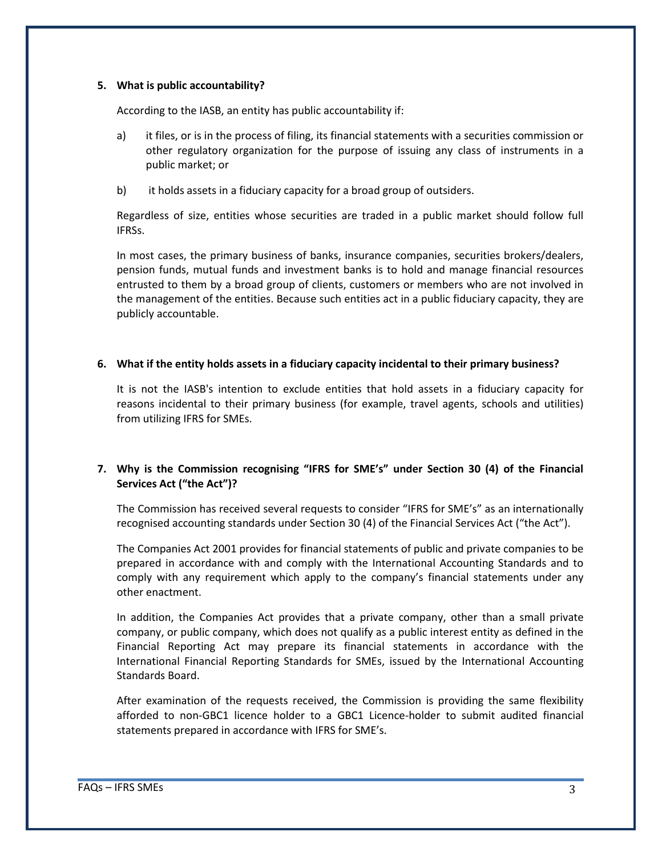#### **5. What is public accountability?**

According to the IASB, an entity has public accountability if:

- a) it files, or is in the process of filing, its financial statements with a securities commission or other regulatory organization for the purpose of issuing any class of instruments in a public market; or
- b) it holds assets in a fiduciary capacity for a broad group of outsiders.

Regardless of size, entities whose securities are traded in a public market should follow full IFRSs.

In most cases, the primary business of banks, insurance companies, securities brokers/dealers, pension funds, mutual funds and investment banks is to hold and manage financial resources entrusted to them by a broad group of clients, customers or members who are not involved in the management of the entities. Because such entities act in a public fiduciary capacity, they are publicly accountable.

#### **6. What if the entity holds assets in a fiduciary capacity incidental to their primary business?**

It is not the IASB's intention to exclude entities that hold assets in a fiduciary capacity for reasons incidental to their primary business (for example, travel agents, schools and utilities) from utilizing IFRS for SMEs.

# **7. Why is the Commission recognising "IFRS for SME's" under Section 30 (4) of the Financial Services Act ("the Act")?**

The Commission has received several requests to consider "IFRS for SME's" as an internationally recognised accounting standards under Section 30 (4) of the Financial Services Act ("the Act").

The Companies Act 2001 provides for financial statements of public and private companies to be prepared in accordance with and comply with the International Accounting Standards and to comply with any requirement which apply to the company's financial statements under any other enactment.

In addition, the Companies Act provides that a private company, other than a small private company, or public company, which does not qualify as a public interest entity as defined in the Financial Reporting Act may prepare its financial statements in accordance with the International Financial Reporting Standards for SMEs, issued by the International Accounting Standards Board.

After examination of the requests received, the Commission is providing the same flexibility afforded to non-GBC1 licence holder to a GBC1 Licence-holder to submit audited financial statements prepared in accordance with IFRS for SME's.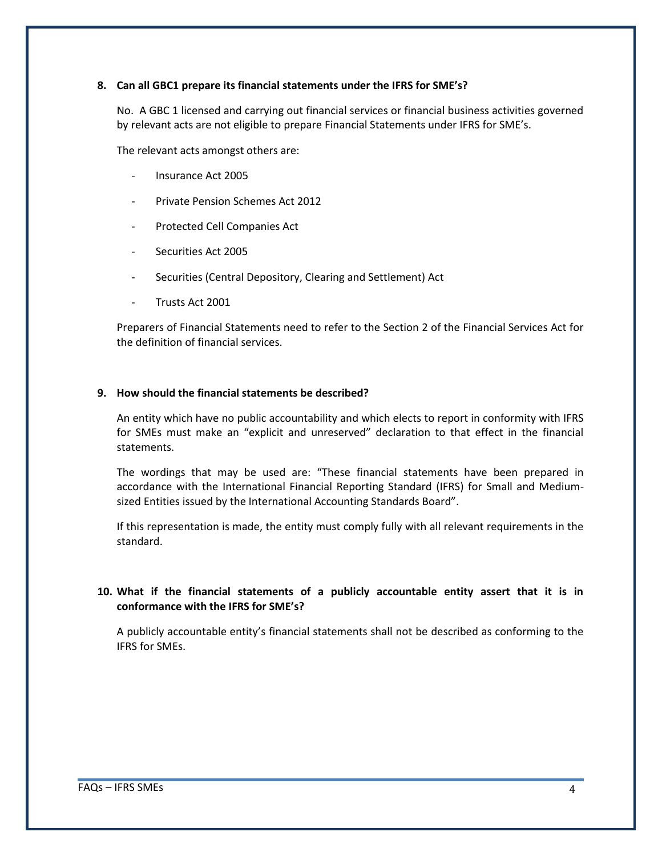#### **8. Can all GBC1 prepare its financial statements under the IFRS for SME's?**

No. A GBC 1 licensed and carrying out financial services or financial business activities governed by relevant acts are not eligible to prepare Financial Statements under IFRS for SME's.

The relevant acts amongst others are:

- Insurance Act 2005
- Private Pension Schemes Act 2012
- Protected Cell Companies Act
- Securities Act 2005
- Securities (Central Depository, Clearing and Settlement) Act
- Trusts Act 2001

Preparers of Financial Statements need to refer to the Section 2 of the Financial Services Act for the definition of financial services.

#### **9. How should the financial statements be described?**

An entity which have no public accountability and which elects to report in conformity with IFRS for SMEs must make an "explicit and unreserved" declaration to that effect in the financial statements.

The wordings that may be used are: "These financial statements have been prepared in accordance with the International Financial Reporting Standard (IFRS) for Small and Mediumsized Entities issued by the International Accounting Standards Board".

If this representation is made, the entity must comply fully with all relevant requirements in the standard.

### **10. What if the financial statements of a publicly accountable entity assert that it is in conformance with the IFRS for SME's?**

A publicly accountable entity's financial statements shall not be described as conforming to the IFRS for SMEs.